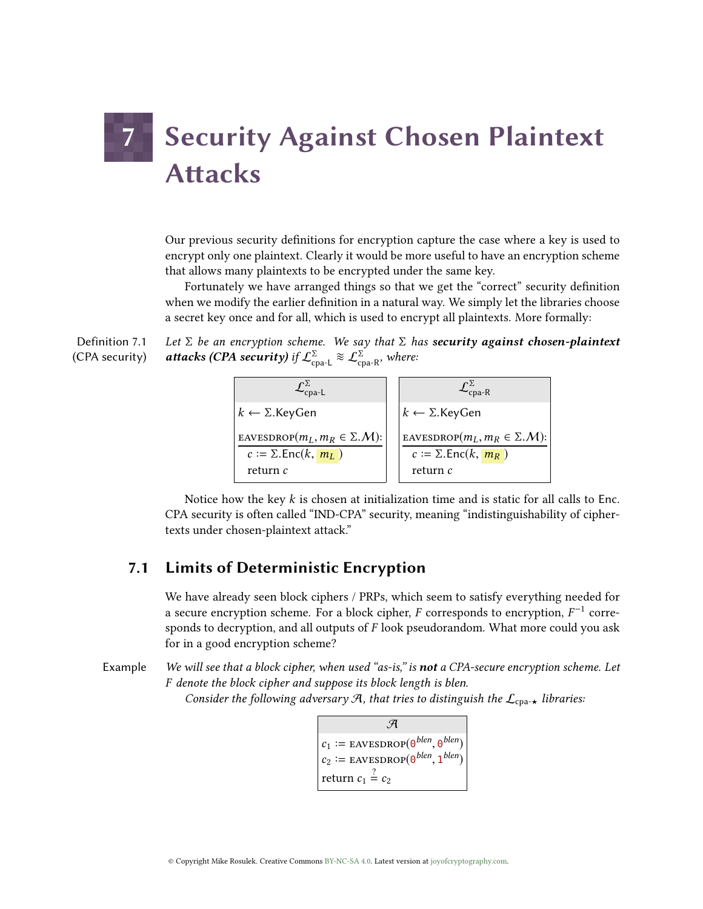# **7 Security Against Chosen Plaintext Attacks**

Our previous security definitions for encryption capture the case where a key is used to encrypt only one plaintext. Clearly it would be more useful to have an encryption scheme that allows many plaintexts to be encrypted under the same key.

Fortunately we have arranged things so that we get the "correct" security definition when we modify the earlier definition in a natural way. We simply let the libraries choose a secret key once and for all, which is used to encrypt all plaintexts. More formally:

Definition 7.1 (CPA security) Let  $\Sigma$  be an encryption scheme. We say that  $\Sigma$  has **security against chosen-plaintext attacks (CPA security)** if  $\mathcal{L}_{\text{coa-L}}^{\Sigma} \approx \mathcal{L}_{\text{coa-R}}^{\Sigma}$ , where:



Notice how the key  $k$  is chosen at initialization time and is static for all calls to Enc. CPA security is often called "IND-CPA" security, meaning "indistinguishability of ciphertexts under chosen-plaintext attack."

# 7.1 Limits of Deterministic Encryption

We have already seen block ciphers / PRPs, which seem to satisfy everything needed for a secure encryption scheme. For a block cipher,  $F$  corresponds to encryption,  $F^{-1}$  corre-<br>sponds to decryption, and all outputs of  $F$  look pseudorandom. What more could you ask sponds to decryption, and all outputs of  $F$  look pseudorandom. What more could you ask for in a good encryption scheme?

Example We will see that a block cipher, when used "as-is," is not a CPA-secure encryption scheme. Let F denote the block cipher and suppose its block length is blen.

Consider the following adversary A, that tries to distinguish the  $\mathcal{L}_{\text{cpa-}\star}$  libraries:

$$
\mathcal{A}
$$
  
\n
$$
c_1 := \text{EAVESDROP}(\theta^{blen}, \theta^{blen})
$$
  
\n
$$
c_2 := \text{EAVESDROP}(\theta^{blen}, 1^{blen})
$$
  
\nreturn  $c_1 \stackrel{?}{=} c_2$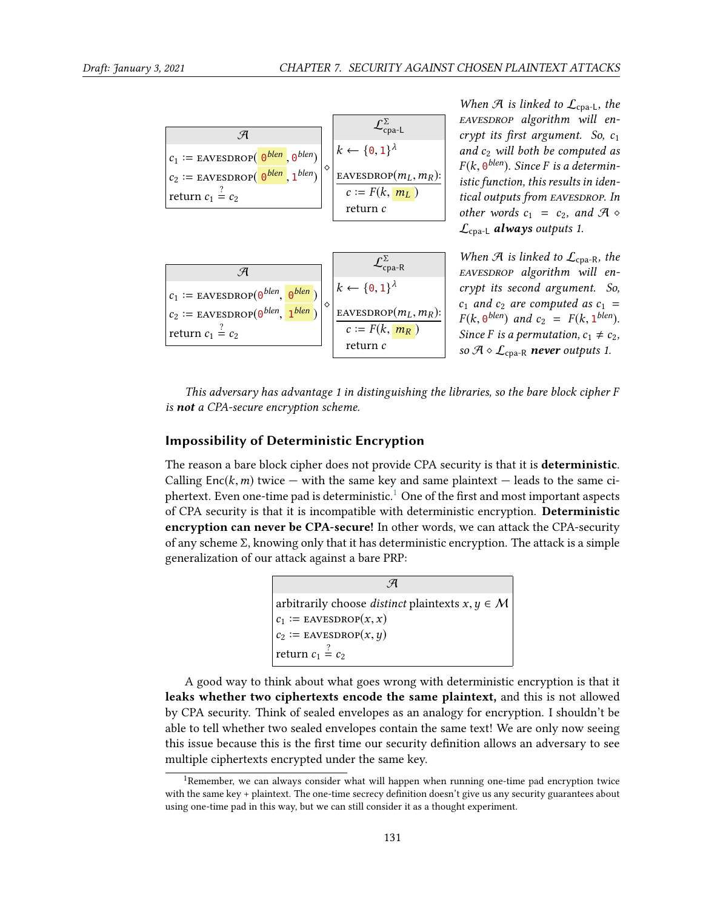

When  $\mathcal{A}$  is linked to  $\mathcal{L}_{\text{cpa-L}}$ , the EAVESDROP algorithm will encrypt its first argument. So,  $c_1$ and  $c_2$  will both be computed as  $F(k, 0^{blen})$ . Since F is a determin-<br>istic function, this results in idenistic function, this results in identical outputs from EAVESDROP. In other words  $c_1 = c_2$ , and  $\mathcal{A} \diamond$  $\mathcal{L}_{\text{coa-L}}$  always outputs 1.

When  $\mathcal{A}$  is linked to  $\mathcal{L}_{\text{cpa-R}}$ , the EAVESDROP algorithm will encrypt its second argument. So,  $c_1$  and  $c_2$  are computed as  $c_1$  =  $F(k, 0^{blen})$  and  $c_2 = F(k, 1^{blen})$ .<br>Since *E* is a permutation  $c_1 \neq c_2$ . Since F is a permutation,  $c_1 \neq c_2$ , so  $\mathcal{A} \diamond \mathcal{L}_{\text{cpa-R}}$  never outputs 1.

This adversary has advantage 1 in distinguishing the libraries, so the bare block cipher F is not a CPA-secure encryption scheme.

#### Impossibility of Deterministic Encryption

The reason a bare block cipher does not provide CPA security is that it is deterministic. Calling  $Enc(k, m)$  twice — with the same key and same plaintext — leads to the same ci-phertext. Even one-time pad is deterministic.<sup>[1](#page-1-0)</sup> One of the first and most important aspects of CPA security is that it is incompatible with deterministic encryption. Deterministic encryption can never be CPA-secure! In other words, we can attack the CPA-security of any scheme Σ, knowing only that it has deterministic encryption. The attack is a simple generalization of our attack against a bare PRP:

> $\mathcal{A}$ arbitrarily choose *distinct* plaintexts  $x, y \in M$  $\frac{c_1}{c_1}$  $c_1 :=$  EAVESDROP $(x, x)$  $c_2$  $:=$  EAVESDROP $(x, y)$ return  $c_1 \stackrel{?}{=} c_2$

A good way to think about what goes wrong with deterministic encryption is that it leaks whether two ciphertexts encode the same plaintext, and this is not allowed by CPA security. Think of sealed envelopes as an analogy for encryption. I shouldn't be able to tell whether two sealed envelopes contain the same text! We are only now seeing this issue because this is the first time our security definition allows an adversary to see multiple ciphertexts encrypted under the same key.

<span id="page-1-0"></span><sup>&</sup>lt;sup>1</sup>Remember, we can always consider what will happen when running one-time pad encryption twice with the same key + plaintext. The one-time secrecy definition doesn't give us any security guarantees about using one-time pad in this way, but we can still consider it as a thought experiment.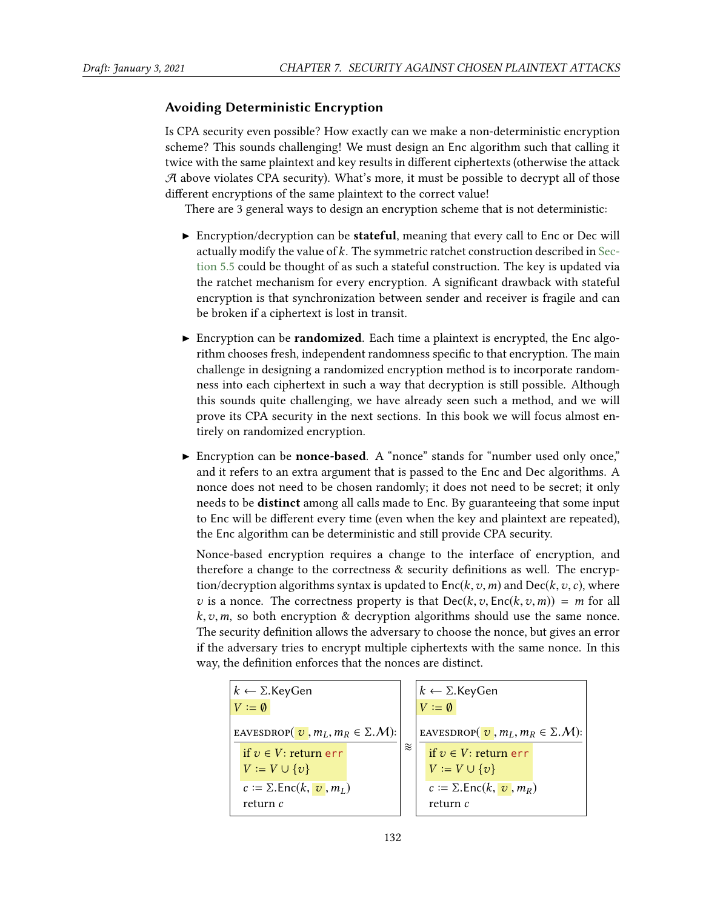#### Avoiding Deterministic Encryption

Is CPA security even possible? How exactly can we make a non-deterministic encryption scheme? This sounds challenging! We must design an Enc algorithm such that calling it twice with the same plaintext and key results in different ciphertexts (otherwise the attack  $A$  above violates CPA security). What's more, it must be possible to decrypt all of those different encryptions of the same plaintext to the correct value!

There are 3 general ways to design an encryption scheme that is not deterministic:

- $\triangleright$  Encryption/decryption can be **stateful**, meaning that every call to Enc or Dec will actually modify the value of  $k$ . The symmetric ratchet construction described in [Sec](#page--1-0)[tion 5.5](#page--1-0) could be thought of as such a stateful construction. The key is updated via the ratchet mechanism for every encryption. A significant drawback with stateful encryption is that synchronization between sender and receiver is fragile and can be broken if a ciphertext is lost in transit.
- Encryption can be **randomized**. Each time a plaintext is encrypted, the Enc algorithm chooses fresh, independent randomness specific to that encryption. The main challenge in designing a randomized encryption method is to incorporate randomness into each ciphertext in such a way that decryption is still possible. Although this sounds quite challenging, we have already seen such a method, and we will prove its CPA security in the next sections. In this book we will focus almost entirely on randomized encryption.
- Encryption can be **nonce-based**. A "nonce" stands for "number used only once," and it refers to an extra argument that is passed to the Enc and Dec algorithms. A nonce does not need to be chosen randomly; it does not need to be secret; it only needs to be distinct among all calls made to Enc. By guaranteeing that some input to Enc will be different every time (even when the key and plaintext are repeated), the Enc algorithm can be deterministic and still provide CPA security.

Nonce-based encryption requires a change to the interface of encryption, and therefore a change to the correctness  $&$  security definitions as well. The encryption/decryption algorithms syntax is updated to  $Enc(k, v, m)$  and  $Dec(k, v, c)$ , where v is a nonce. The correctness property is that  $Dec(k, v, Enc(k, v, m)) = m$  for all  $k, v, m$ , so both encryption & decryption algorithms should use the same nonce. The security definition allows the adversary to choose the nonce, but gives an error if the adversary tries to encrypt multiple ciphertexts with the same nonce. In this way, the definition enforces that the nonces are distinct.

$$
k \leftarrow \Sigma \text{.KeyGen}
$$
\n
$$
V := \emptyset
$$
\n
$$
\text{EavesDROP}(\upsilon, m_L, m_R \in \Sigma \text{.}M)
$$
\n
$$
\text{EavesDROP}(\upsilon, m_L, m_R \in \Sigma \text{.}M)
$$
\n
$$
\text{EavesDROP}(\upsilon, m_L, m_R \in \Sigma \text{.}M)
$$
\n
$$
\text{EavesDROP}(\upsilon, m_L, m_R \in \Sigma \text{.}M)
$$
\n
$$
\text{EavesDROP}(\upsilon, m_L, m_R \in \Sigma \text{.}M)
$$
\n
$$
\text{EavesDROP}(\upsilon, m_L, m_R \in \Sigma \text{.}M)
$$
\n
$$
\text{EavesDROP}(\upsilon, m_L, m_R \in \Sigma \text{.}M)
$$
\n
$$
\text{EavesDROP}(\upsilon, m_L, m_R \in \Sigma \text{.}M)
$$
\n
$$
\text{EavesDROP}(\upsilon, m_L, m_R \in \Sigma \text{.}M)
$$
\n
$$
\text{EavesDROP}(\upsilon, m_L, m_R \in \Sigma \text{.}M)
$$
\n
$$
\text{EavesDROP}(\upsilon, m_L, m_R \in \Sigma \text{.}M)
$$
\n
$$
\text{EavesDROP}(\upsilon, m_L, m_R \in \Sigma \text{.}M)
$$
\n
$$
\text{EavesDROP}(\upsilon, m_L, m_R \in \Sigma \text{.}M)
$$
\n
$$
\text{EavesDROP}(\upsilon, m_L, m_R \in \Sigma \text{.}M)
$$
\n
$$
\text{EavesDROP}(\upsilon, m_L, m_R \in \Sigma \text{.}M)
$$
\n
$$
\text{EavesDROP}(\upsilon, m_L, m_R \in \Sigma \text{.}M)
$$
\n
$$
\text{EavesDROP}(\upsilon, m_L, m_R \in \Sigma \text{.}M)
$$
\n
$$
\text{EavesDROP}(\upsilon, m_L, m_R \in \Sigma \text{.}M)
$$
\n
$$
\text{EavesDROP}(\upsilon, m_L, m_R \in \Sigma \text{.}M)
$$
\n
$$
\text{EavesDROP}(\upsilon, m_L, m_R \in \Sigma \text{.}M)
$$
\n
$$
\text{
$$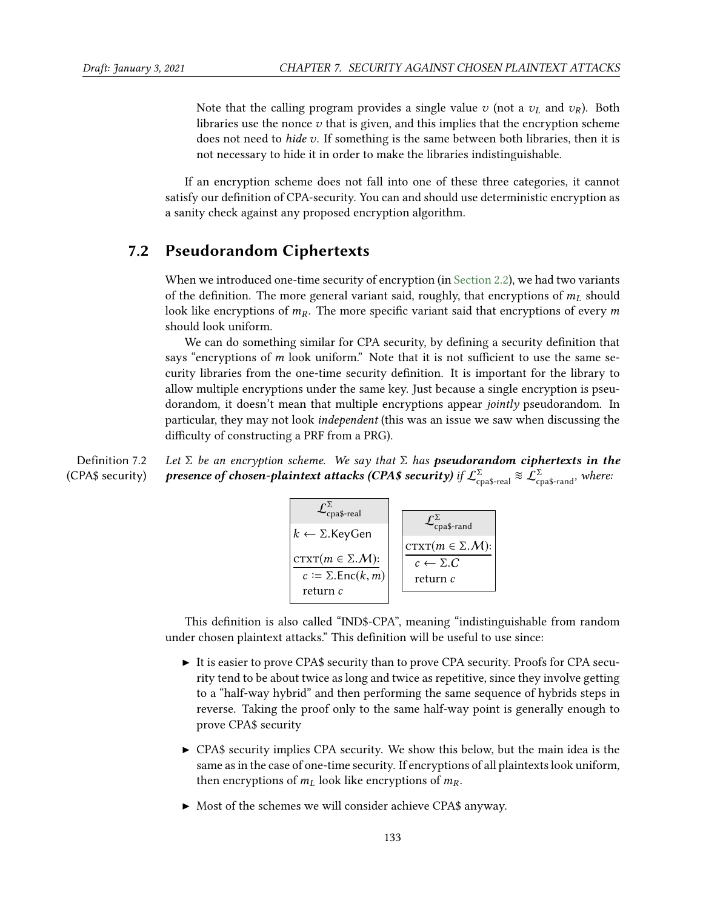Note that the calling program provides a single value v (not a  $v_L$  and  $v_R$ ). Both libraries use the nonce  $v$  that is given, and this implies that the encryption scheme does not need to *hide v*. If something is the same between both libraries, then it is not necessary to hide it in order to make the libraries indistinguishable.

If an encryption scheme does not fall into one of these three categories, it cannot satisfy our definition of CPA-security. You can and should use deterministic encryption as a sanity check against any proposed encryption algorithm.

## 7.2 Pseudorandom Ciphertexts

When we introduced one-time security of encryption (in [Section 2.2\)](#page--1-1), we had two variants of the definition. The more general variant said, roughly, that encryptions of  $m<sub>L</sub>$  should look like encryptions of  $m<sub>R</sub>$ . The more specific variant said that encryptions of every m should look uniform.

We can do something similar for CPA security, by defining a security definition that says "encryptions of  $m$  look uniform." Note that it is not sufficient to use the same security libraries from the one-time security definition. It is important for the library to allow multiple encryptions under the same key. Just because a single encryption is pseudorandom, it doesn't mean that multiple encryptions appear jointly pseudorandom. In particular, they may not look independent (this was an issue we saw when discussing the difficulty of constructing a PRF from a PRG).

Definition 7.2 (CPA\$ security) Let  $\Sigma$  be an encryption scheme. We say that  $\Sigma$  has **pseudorandom ciphertexts in the**<br>**presence of chosen-plaintext attacks (CPA\$ security)** if  $\mathcal{L}^{\Sigma}_{\text{cna$-real}} \approx \mathcal{L}^{\Sigma}_{\text{cna$-rand}}$ , where:

$$
\mathcal{L}_{\text{cpa$-real}}^{\Sigma}
$$
\n
$$
k \leftarrow \Sigma.\text{KeyGen}
$$
\n
$$
\text{crxr}(m \in \Sigma.\mathcal{M}):\text{c:= } \Sigma.\text{Enc}(k,m)
$$
\n
$$
\text{return } c
$$
\n
$$
\text{return } c
$$
\n
$$
\text{return } c
$$

This definition is also called "IND\$-CPA", meaning "indistinguishable from random under chosen plaintext attacks." This definition will be useful to use since:

- $\triangleright$  It is easier to prove CPA\$ security than to prove CPA security. Proofs for CPA security tend to be about twice as long and twice as repetitive, since they involve getting to a "half-way hybrid" and then performing the same sequence of hybrids steps in reverse. Taking the proof only to the same half-way point is generally enough to prove CPA\$ security
- $\triangleright$  CPA\$ security implies CPA security. We show this below, but the main idea is the same as in the case of one-time security. If encryptions of all plaintexts look uniform, then encryptions of  $m<sub>L</sub>$  look like encryptions of  $m<sub>R</sub>$ .
- $\triangleright$  Most of the schemes we will consider achieve CPA\$ anyway.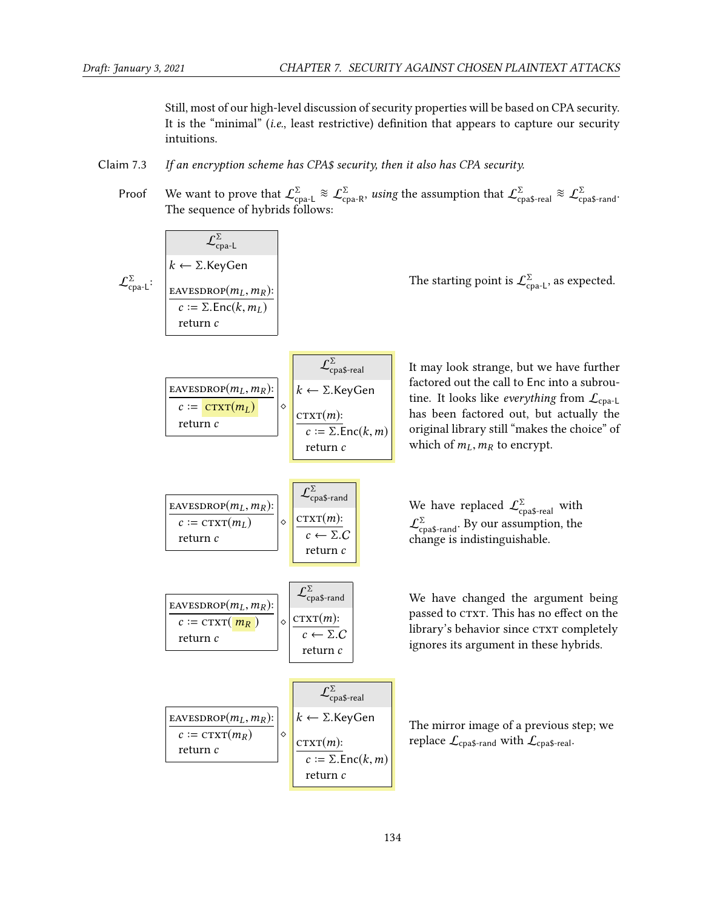Still, most of our high-level discussion of security properties will be based on CPA security. It is the "minimal" (i.e., least restrictive) definition that appears to capture our security intuitions.

- Claim 7.3 If an encryption scheme has CPA\$ security, then it also has CPA security.
	- Proof We want to prove that  $\mathcal{L}_{\text{coa-L}}^{\Sigma} \approx \mathcal{L}_{\text{coa-R}}^{\Sigma}$ , using the assumption that  $\mathcal{L}_{\text{coaS-real}}^{\Sigma} \approx \mathcal{L}_{\text{coaS-random}}^{\Sigma}$ The sequence of hybrids follows:

| $\mathcal{L}_{cpa-t}^{\Sigma}$                                 | $\mathcal{L}_{cpa-t}^{\Sigma}$                                    | The starting point is $\mathcal{L}_{cpa-t}^{\Sigma}$ as expected.                                                                                                               |                                                                                                                                                                                                                                                                                                                                                                                                                                                                     |
|----------------------------------------------------------------|-------------------------------------------------------------------|---------------------------------------------------------------------------------------------------------------------------------------------------------------------------------|---------------------------------------------------------------------------------------------------------------------------------------------------------------------------------------------------------------------------------------------------------------------------------------------------------------------------------------------------------------------------------------------------------------------------------------------------------------------|
| $\mathcal{L}_{cpa-t}^{\Sigma}$ are $\Sigma Fnc(k, m_L)$        | The starting point is $\mathcal{L}_{cpa-t}^{\Sigma}$ as expected. |                                                                                                                                                                                 |                                                                                                                                                                                                                                                                                                                                                                                                                                                                     |
| $\mathcal{L}_{crm}^{\Sigma}$                                   | return $c$                                                        | $\mathcal{L}_{cpa}$ $\mathcal{L}_{crm}$                                                                                                                                         | It may look strange, but we have further factored out the call to $\Sigma r$ into a suboutput.                                                                                                                                                                                                                                                                                                                                                                      |
| $\mathcal{L}_{c}^{\Sigma} = \frac{c r x r(m_L)}{c r x r(m_L)}$ | $\mathcal{L}_{c}^{\Sigma}$                                        | Int $\Sigma$ (or $\Sigma r$ in the image) has been factored out, but actually the original library still "makes the choice" of the number of which of $m_L, m_R$ to the energy. |                                                                                                                                                                                                                                                                                                                                                                                                                                                                     |
| $\mathcal{L}_{c}^{\Sigma}$ = c r x r (m_L)                     | $\mathcal{L}_{cpa}$ $\mathcal{L}_{cpa}$                           | We have replaced $\mathcal{L}_{cpa}$ $\mathcal{L}_{cpa}$ with a change is indistinguishable.                                                                                    |                                                                                                                                                                                                                                                                                                                                                                                                                                                                     |
| $\mathcal{L}_{c}^{\Sigma}$                                     | trum $c$                                                          | We have changed the argument being $\overline{c} \leftarrow \Sigma . C$                                                                                                         | We have changed the argument being $\overline{c} \leftarrow \Sigma . C$ is $\overline{c} \leftarrow \Sigma . C$ is $\overline{c} \leftarrow \Sigma . C$ is $\overline{c} \leftarrow \Sigma . C$ is $\overline{c} \leftarrow \Sigma . C$ is $\overline{c} \leftarrow \Sigma . C$ is $\overline{c} \leftarrow \Sigma . C$ is $\overline{c} \leftarrow \Sigma . C$ is $\overline{c} \leftarrow \Sigma . C$ is $\overline{c} \leftarrow \Sigma . C$ is $\overline{c} \$ |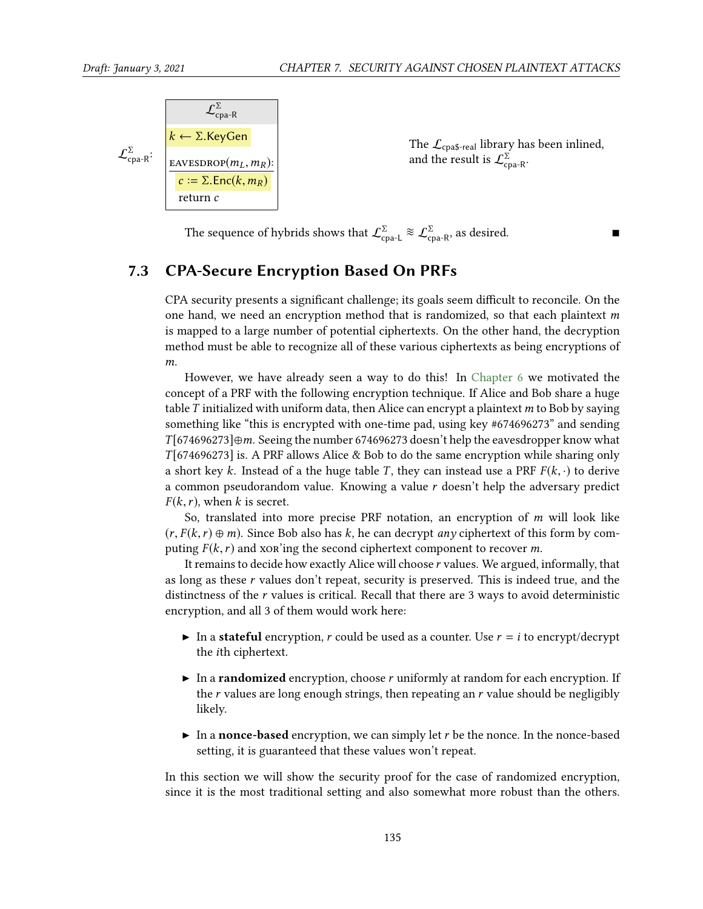$$
\mathcal{L}_{\text{cpa-R}}^{\Sigma}
$$
\n
$$
\mathcal{L}_{\text{cpa-R}}^{\Sigma}
$$
\n
$$
\mathcal{L}_{\text{cpa-R}}^{\Sigma}
$$
\n
$$
\mathcal{L}_{\text{cpa-R}}^{\Sigma}
$$
\n
$$
\mathcal{L}_{\text{c1}}^{\Sigma} = \Sigma \cdot \text{Enc}(k, m_R)
$$
\n
$$
\mathcal{L}_{\text{c1}}^{\Sigma} = \Sigma \cdot \text{Enc}(k, m_R)
$$

The  $\mathcal{L}_{\text{cpa$-real}}$  library has been inlined, and the result is  $\mathcal{L}^{\Sigma}_{\text{cpa-R}}$ .

The sequence of hybrids shows that  $\mathcal{L}^{\Sigma}_{\text{coa-L}} \approx \mathcal{L}^{\Sigma}_{\text{coa-R}}$ , as desired. ■

## 7.3 CPA-Secure Encryption Based On PRFs

CPA security presents a significant challenge; its goals seem difficult to reconcile. On the one hand, we need an encryption method that is randomized, so that each plaintext  $m$ is mapped to a large number of potential ciphertexts. On the other hand, the decryption method must be able to recognize all of these various ciphertexts as being encryptions of m.

However, we have already seen a way to do this! In [Chapter 6](#page--1-0) we motivated the concept of a PRF with the following encryption technique. If Alice and Bob share a huge table  $T$  initialized with uniform data, then Alice can encrypt a plaintext  $m$  to Bob by saying something like "this is encrypted with one-time pad, using key #674696273" and sending  $T[674696273]$ ⊕m. Seeing the number 674696273 doesn't help the eavesdropper know what  $T[674696273]$  is. A PRF allows Alice & Bob to do the same encryption while sharing only a short key k. Instead of a the huge table T, they can instead use a PRF  $F(k, \cdot)$  to derive a common pseudorandom value. Knowing a value r doesn't help the adversary predict  $F(k, r)$ , when k is secret.

So, translated into more precise PRF notation, an encryption of m will look like  $(r, F(k, r) \oplus m)$ . Since Bob also has k, he can decrypt any ciphertext of this form by computing  $F(k, r)$  and xor'ing the second ciphertext component to recover m.

It remains to decide how exactly Alice will choose r values. We argued, informally, that as long as these r values don't repeat, security is preserved. This is indeed true, and the distinctness of the r values is critical. Recall that there are 3 ways to avoid deterministic encryption, and all 3 of them would work here:

- In a stateful encryption, r could be used as a counter. Use  $r = i$  to encrypt/decrypt the ith ciphertext.
- $\triangleright$  In a **randomized** encryption, choose r uniformly at random for each encryption. If the  $r$  values are long enough strings, then repeating an  $r$  value should be negligibly likely.
- $\triangleright$  In a nonce-based encryption, we can simply let r be the nonce. In the nonce-based setting, it is guaranteed that these values won't repeat.

In this section we will show the security proof for the case of randomized encryption, since it is the most traditional setting and also somewhat more robust than the others.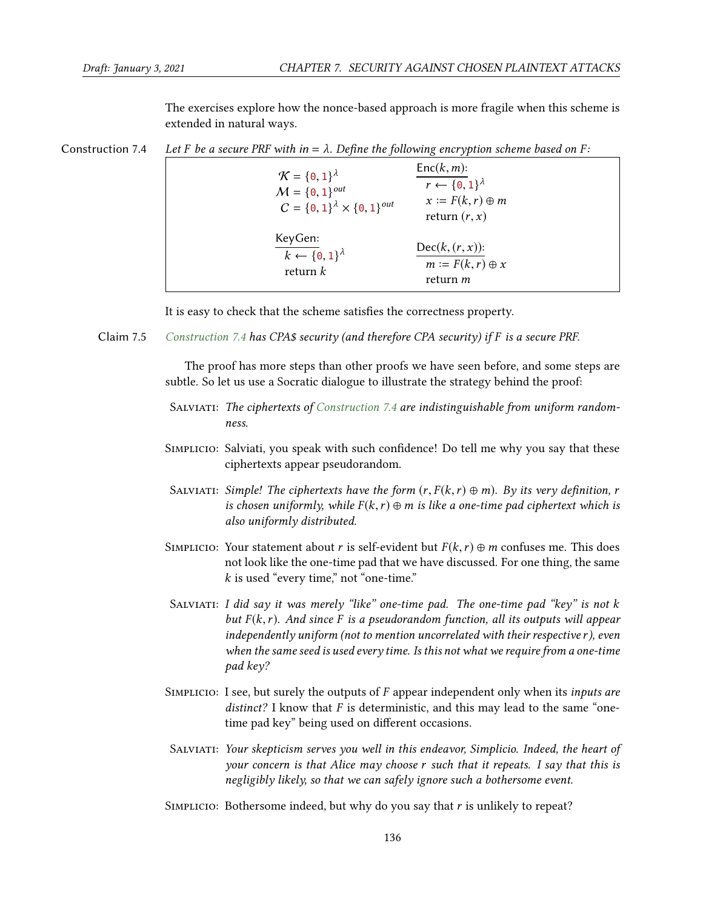<span id="page-6-0"></span>The exercises explore how the nonce-based approach is more fragile when this scheme is extended in natural ways.

Construction 7.4 Let F be a secure PRF with in =  $\lambda$ . Define the following encryption scheme based on F:

| $\mathcal{K} = \{0, 1\}^{\lambda}$<br>$M = \{0, 1\}^{out}$<br>$C = \{0, 1\}^{\lambda} \times \{0, 1\}^{out}$ | $Enc(k, m)$ :<br>$r \leftarrow \{0,1\}^{\lambda}$<br>$x := F(k, r) \oplus m$<br>return $(r, x)$ |
|--------------------------------------------------------------------------------------------------------------|-------------------------------------------------------------------------------------------------|
| KeyGen:                                                                                                      | $Dec(k, (r, x))$ :                                                                              |
| $k \leftarrow \{0,1\}^{\lambda}$                                                                             | $m := F(k, r) \oplus x$                                                                         |
| return $k$                                                                                                   | return m                                                                                        |

<span id="page-6-1"></span>It is easy to check that the scheme satisfies the correctness property.

Claim 7.5 [Construction 7.4](#page-6-0) has CPA\$ security (and therefore CPA security) if F is a secure PRF.

The proof has more steps than other proofs we have seen before, and some steps are subtle. So let us use a Socratic dialogue to illustrate the strategy behind the proof:

- SALVIATI: The ciphertexts of [Construction 7.4](#page-6-0) are indistinguishable from uniform randomness.
- SIMPLICIO: Salviati, you speak with such confidence! Do tell me why you say that these ciphertexts appear pseudorandom.
- SALVIATI: Simple! The ciphertexts have the form  $(r, F(k, r) \oplus m)$ . By its very definition, r is chosen uniformly, while  $F(k, r) \oplus m$  is like a one-time pad ciphertext which is also uniformly distributed.
- SIMPLICIO: Your statement about r is self-evident but  $F(k, r) \oplus m$  confuses me. This does not look like the one-time pad that we have discussed. For one thing, the same  $k$  is used "every time," not "one-time."
- SALVIATI: I did say it was merely "like" one-time pad. The one-time pad "key" is not  $k$ but  $F(k, r)$ . And since F is a pseudorandom function, all its outputs will appear independently uniform (not to mention uncorrelated with their respective r), even when the same seed is used every time. Is this not what we require from a one-time pad key?
- SIMPLICIO: I see, but surely the outputs of  $F$  appear independent only when its *inputs are* distinct? I know that  $F$  is deterministic, and this may lead to the same "onetime pad key" being used on different occasions.
- SALVIATI: Your skepticism serves you well in this endeavor, Simplicio. Indeed, the heart of your concern is that Alice may choose r such that it repeats. I say that this is negligibly likely, so that we can safely ignore such a bothersome event.
- Simplicio: Bothersome indeed, but why do you say that r is unlikely to repeat?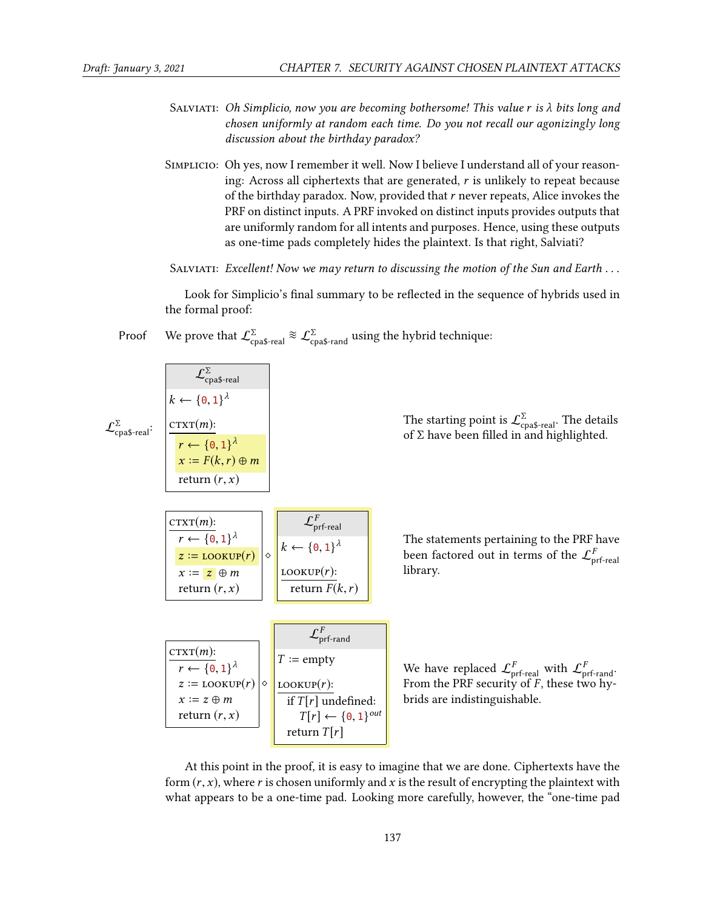$\mathcal{L}_{\text{coas-real}}^{\Sigma}$  :

- SALVIATI: Oh Simplicio, now you are becoming bothersome! This value r is  $\lambda$  bits long and chosen uniformly at random each time. Do you not recall our agonizingly long discussion about the birthday paradox?
- Simplicio: Oh yes, now I remember it well. Now I believe I understand all of your reasoning: Across all ciphertexts that are generated,  $r$  is unlikely to repeat because of the birthday paradox. Now, provided that  $r$  never repeats, Alice invokes the PRF on distinct inputs. A PRF invoked on distinct inputs provides outputs that are uniformly random for all intents and purposes. Hence, using these outputs as one-time pads completely hides the plaintext. Is that right, Salviati?
- SALVIATI: Excellent! Now we may return to discussing the motion of the Sun and Earth  $\dots$

Look for Simplicio's final summary to be reflected in the sequence of hybrids used in the formal proof:

Proof We prove that  $\mathcal{L}_{\text{coas-real}}^{\Sigma} \approx \mathcal{L}_{\text{coas-random}}^{\Sigma}$  using the hybrid technique:

The starting point is  $\mathcal{L}^{\Sigma}_{\text{coas-real}}$ . The details of  $\Sigma$  have been filled in and highlighted.

| $CTXT(m)$ :                                                        |   | $\mathcal{L}_{\text{prf-real}}^{r}$ |
|--------------------------------------------------------------------|---|-------------------------------------|
| $r \leftarrow \{0,1\}^{\lambda}$<br>$z \coloneqq \text{LOOKUP}(r)$ | ♦ | $k \leftarrow \{0,1\}^{\lambda}$    |
| $x := z \oplus m$<br>return $(r, x)$                               |   | $LOOKUP(r)$ :<br>return $F(k, r)$   |
|                                                                    |   |                                     |
|                                                                    |   |                                     |

 $T := \text{empty}$ 

 $\frac{\text{LOOKUP}(r):}{(r)!(r)!}$ 

return  $T[r]$ 

if  $T[r]$  undefined:  $T[r] \leftarrow \{0, 1\}^{out}$ <br>turn  $T[r]$ 

 $\mathcal{L}^{\Sigma}_{\text{coas-real}}$ 

 $k \leftarrow \{0, 1\}^{\lambda}$ 

 $r \leftarrow \{0,1\}^{\lambda}$ <br> $r := F(k, r)$  $x \coloneqq F(k,r) \oplus m$ return  $(r, x)$ 

 $\frac{\text{CTXT}(m):}{\sum_{n=1}^{n}}$ 

 $\mathrm{Tr}\mathrm{XT}(m)$ :

 $r \leftarrow \{0, 1\}^{\lambda}$ <br>  $z = \text{LOVIII}$  $z \coloneqq \text{LOOKUP}(r) \bigg| \diamond$ <br> $x \coloneqq z \oplus m$  $x := z \oplus m$ return  $(r, x)$ 

The statements pertaining to the PRF have been factored out in terms of the  $\mathcal{L}^F_{\mathsf{onf}\text{-}\mathsf{real}}$ library.

We have replaced  $\mathcal{L}^F_{\mathsf{orf}\text{-} \mathsf{real}}$  with  $\mathcal{L}^F_{\mathsf{orf}\text{-} \mathsf{rand}}$ . From the PRF security of  $F$ , these two hy-<br>brids are indistinguishable brids are indistinguishable.

At this point in the proof, it is easy to imagine that we are done. Ciphertexts have the form  $(r, x)$ , where r is chosen uniformly and x is the result of encrypting the plaintext with what appears to be a one-time pad. Looking more carefully, however, the "one-time pad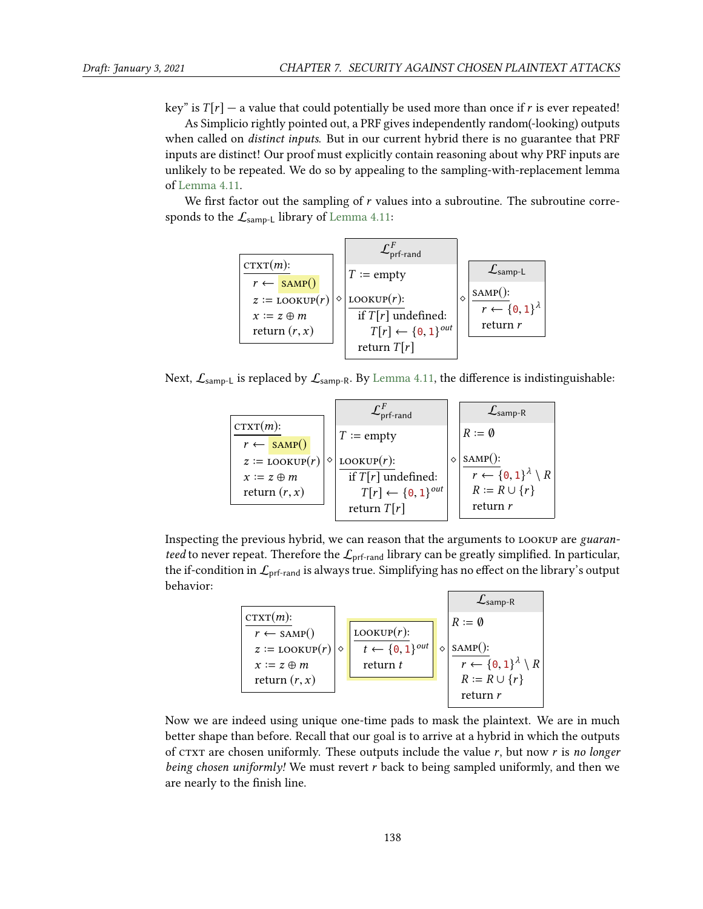key" is  $T[r]$  — a value that could potentially be used more than once if r is ever repeated!

As Simplicio rightly pointed out, a PRF gives independently random(-looking) outputs when called on *distinct inputs*. But in our current hybrid there is no guarantee that PRF inputs are distinct! Our proof must explicitly contain reasoning about why PRF inputs are unlikely to be repeated. We do so by appealing to the sampling-with-replacement lemma of [Lemma 4.11.](#page--1-2)

We first factor out the sampling of  $r$  values into a subroutine. The subroutine corresponds to the  $\mathcal{L}_{\text{sample}}$  library of [Lemma 4.11:](#page--1-2)



Next,  $\mathcal{L}_{\text{sample}}$  is replaced by  $\mathcal{L}_{\text{sample}}$ . By [Lemma 4.11,](#page--1-2) the difference is indistinguishable:

|                                                                     | $\mathcal{L}_{\text{prf-rand}}^{F}$                      | $\mathcal{L}_{\text{ samp-R}}$                                      |
|---------------------------------------------------------------------|----------------------------------------------------------|---------------------------------------------------------------------|
| $CTXT(m)$ :                                                         | $T := \text{empty}$                                      | $R \coloneqq \emptyset$                                             |
| $r \leftarrow \text{SAMP}()$<br>$z \coloneqq \text{LOOKUP}(r)$<br>♦ | LOOKUP $(r)$ :                                           | $SAMP$ :                                                            |
| $x := z \oplus m$<br>return $(r, x)$                                | if $T[r]$ undefined:<br>$T[r] \leftarrow \{0, 1\}^{out}$ | $r \leftarrow \{0,1\}^{\lambda} \setminus R$<br>$R := R \cup \{r\}$ |
|                                                                     | return $T[r]$                                            | return r                                                            |

Inspecting the previous hybrid, we can reason that the arguments to lookup are guaranteed to never repeat. Therefore the  $\mathcal{L}_{\text{prf-rand}}$  library can be greatly simplified. In particular, the if-condition in  $\mathcal{L}_{\text{prf-rand}}$  is always true. Simplifying has no effect on the library's output behavior:



Now we are indeed using unique one-time pads to mask the plaintext. We are in much better shape than before. Recall that our goal is to arrive at a hybrid in which the outputs of CTXT are chosen uniformly. These outputs include the value  $r$ , but now  $r$  is no longer being chosen uniformly! We must revert r back to being sampled uniformly, and then we are nearly to the finish line.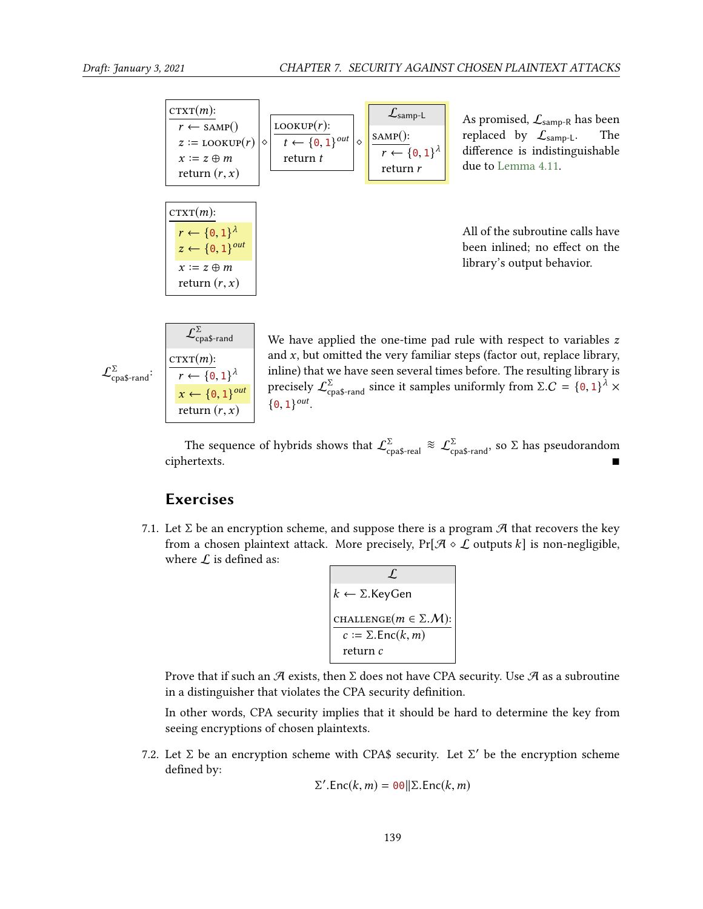| $CTXT(m)$ :<br>$r \leftarrow \text{SAMP}()$<br>$z \coloneqq$ LOOKUP $(r)$<br>$x := z \oplus m$<br>return $(r, x)$        | $LOOKUP(r)$ :<br>$t \leftarrow \{0, 1\}^{out}$<br>$\Diamond$<br>return $t$ | $\mathcal{L}_{\text{sample}}$<br>$SAMP$ :<br>$r \leftarrow \{0,1\}^{\lambda}$<br>return r | As promised, $\mathcal{L}_{\text{ samp-R}}$ has been<br>replaced by $\mathcal{L}_{\text{sample}}$ .<br>The<br>difference is indistinguishable<br>due to Lemma 4.11. |
|--------------------------------------------------------------------------------------------------------------------------|----------------------------------------------------------------------------|-------------------------------------------------------------------------------------------|---------------------------------------------------------------------------------------------------------------------------------------------------------------------|
| $CTXT(m)$ :<br>$r \leftarrow \{0,1\}^{\lambda}$<br>$z \leftarrow \{0, 1\}^{out}$<br>$x := z \oplus m$<br>return $(r, x)$ |                                                                            |                                                                                           | All of the subroutine calls have<br>been inlined; no effect on the<br>library's output behavior.                                                                    |

| $CTXT(m)$ :<br>$r \leftarrow \{0,1\}^{\lambda}$<br>$\mathcal{L}_{\text{cpa$-rand}}$ :<br>return $(r, x)$ | cpa\$-rand                    |
|----------------------------------------------------------------------------------------------------------|-------------------------------|
|                                                                                                          | $x \leftarrow \{0, 1\}^{out}$ |

 $\Gamma$ 

We have applied the one-time pad rule with respect to variables  $z$ and  $x$ , but omitted the very familiar steps (factor out, replace library, inline) that we have seen several times before. The resulting library is precisely  $\mathcal{L}_{\text{cpa$-rand}}^{\Sigma}$  since it samples uniformly from  $\Sigma.C = \{0, 1\}^{\lambda} \times$  $\{0, 1\}^{out}.$ 

The sequence of hybrids shows that  $\mathcal{L}^{\Sigma}_{\text{cpa$-real}} \approx \mathcal{L}^{\Sigma}_{\text{cpa$-rand}}$ , so  $\Sigma$  has pseudorandom ciphertexts.

## Exercises

7.1. Let  $\Sigma$  be an encryption scheme, and suppose there is a program  $\mathcal{A}$  that recovers the key from a chosen plaintext attack. More precisely,  $Pr[\mathcal{A} \circ \mathcal{L}$  outputs k is non-negligible, where  $\mathcal L$  is defined as:

$$
\mathcal{L}
$$
\n
$$
k \leftarrow \Sigma.\text{KeyGen}
$$
\n
$$
\text{CHALLENGE}(m \in \Sigma.\mathcal{M}):\n\begin{array}{l}\n\text{CHALLENGE}(m \in \Sigma.\mathcal{M}):\n\\
c := \Sigma.\text{Enc}(k, m)\n\end{array}
$$

Prove that if such an  $\mathcal A$  exists, then  $\Sigma$  does not have CPA security. Use  $\mathcal A$  as a subroutine in a distinguisher that violates the CPA security definition.

In other words, CPA security implies that it should be hard to determine the key from seeing encryptions of chosen plaintexts.

7.2. Let Σ be an encryption scheme with CPA\$ security. Let Σ' be the encryption scheme defined by: defined by:

$$
\Sigma'.\text{Enc}(k,m) = 00 || \Sigma.\text{Enc}(k,m)
$$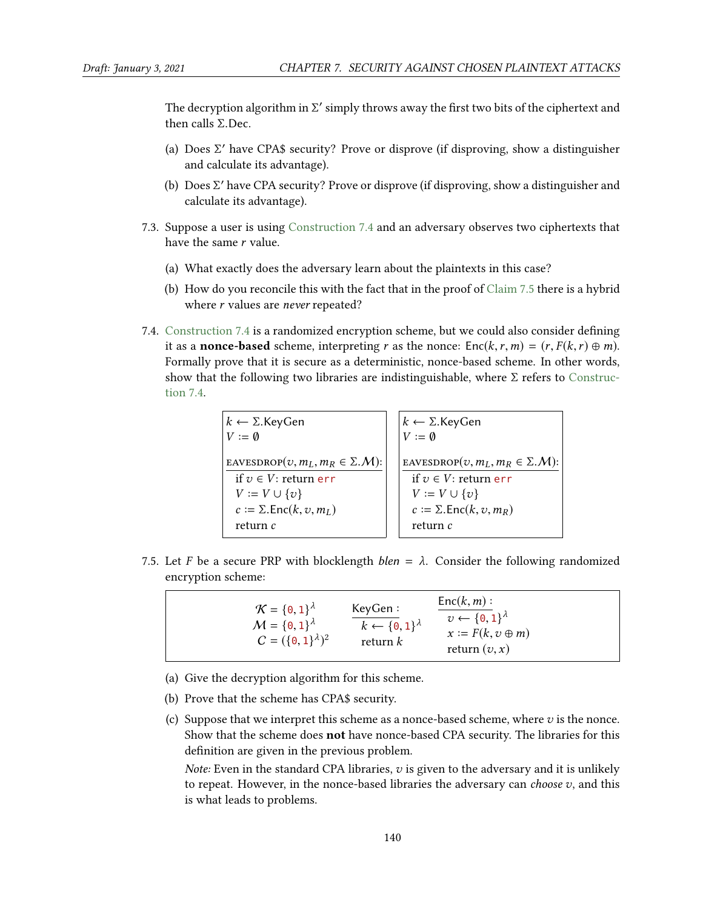The decryption algorithm in  $\Sigma'$  simply throws away the first two bits of the ciphertext and then calls  $\Sigma$  Dec then calls Σ.Dec.

- (a) Does  $\Sigma'$  have CPA\$ security? Prove or disprove (if disproving, show a distinguisher and calculate its advantage) and calculate its advantage).
- (b) Does  $\Sigma'$  have CPA security? Prove or disprove (if disproving, show a distinguisher and calculate its advantage) calculate its advantage).
- 7.3. Suppose a user is using [Construction 7.4](#page-6-0) and an adversary observes two ciphertexts that have the same r value.
	- (a) What exactly does the adversary learn about the plaintexts in this case?
	- (b) How do you reconcile this with the fact that in the proof of [Claim 7.5](#page-6-1) there is a hybrid where *r* values are *never* repeated?
- 7.4. [Construction 7.4](#page-6-0) is a randomized encryption scheme, but we could also consider defining it as a **nonce-based** scheme, interpreting r as the nonce:  $Enc(k, r, m) = (r, F(k, r) \oplus m)$ . Formally prove that it is secure as a deterministic, nonce-based scheme. In other words, show that the following two libraries are indistinguishable, where  $\Sigma$  refers to [Construc](#page-6-0)[tion 7.4.](#page-6-0)

| $k \leftarrow \Sigma$ . Key Gen<br>$V := \emptyset$ | $k \leftarrow \Sigma$ .KeyGen<br>$V := \emptyset$  |
|-----------------------------------------------------|----------------------------------------------------|
| EAVESDROP $(v, m_L, m_R \in \Sigma \mathcal{M})$ :  | EAVESDROP $(v, m_L, m_R \in \Sigma \mathcal{M})$ : |
| if $v \in V$ : return er r                          | if $v \in V$ : return er r                         |
| $V := V \cup \{v\}$                                 | $V \coloneqq V \cup \{v\}$                         |
| $c := \Sigma$ . Enc $(k, v, mL)$                    | $c := \Sigma$ . Enc $(k, v, m_R)$                  |
| return c                                            | return c                                           |

7.5. Let F be a secure PRP with blocklength  $blen = \lambda$ . Consider the following randomized encryption scheme:

 $\mathcal{K} = \{0, 1\}^{\lambda}$ <br> $M = \{0, 1\}^{\lambda}$  $M = \{0, 1\}^{\lambda}$ <br> $C = (\{0, 1\})^{\lambda}$  $C = (\{0, 1\}^{\lambda})^2$ KeyGen :  $k \leftarrow \{0, 1\}^{\lambda}$ return k  $Enc(k, m)$ :  $v \leftarrow \{0, 1\}^{\lambda}$ <br> $x := F(k, z)$  $x := F(k, v \oplus m)$ return  $(v, x)$ 

- (a) Give the decryption algorithm for this scheme.
- (b) Prove that the scheme has CPA\$ security.
- (c) Suppose that we interpret this scheme as a nonce-based scheme, where  $v$  is the nonce. Show that the scheme does not have nonce-based CPA security. The libraries for this definition are given in the previous problem.

Note: Even in the standard CPA libraries,  $v$  is given to the adversary and it is unlikely to repeat. However, in the nonce-based libraries the adversary can *choose*  $v$ , and this is what leads to problems.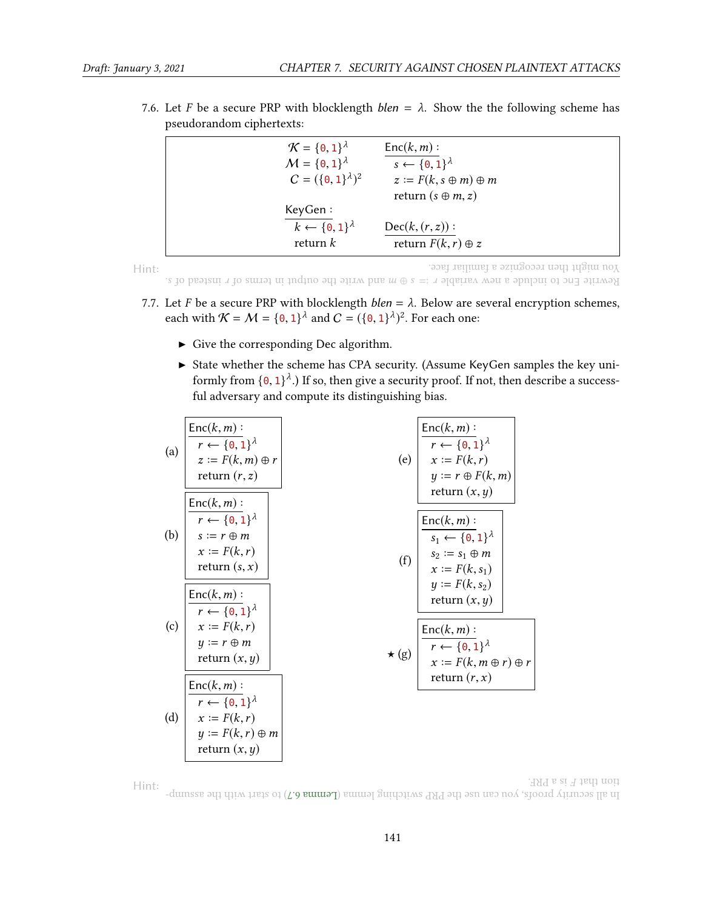| $\mathcal{K} = \{0, 1\}^{\lambda}$<br>$M = \{0, 1\}^{\lambda}$<br>$C = (\{0, 1\}^{\lambda})^2$ | $Enc(k, m)$ :<br>$s \leftarrow \{0,1\}^{\lambda}$<br>$z := F(k, s \oplus m) \oplus m$<br>return $(s \oplus m, z)$ |
|------------------------------------------------------------------------------------------------|-------------------------------------------------------------------------------------------------------------------|
| KeyGen:<br>$k \leftarrow \{0,1\}^{\lambda}$<br>return $k$                                      | $Dec(k, (r, z))$ :<br>return $F(k, r) \oplus z$                                                                   |

7.6. Let F be a secure PRP with blocklength  $blen = \lambda$ . Show the the following scheme has pseudorandom ciphertexts:

Hint:

You might then recognize <sup>a</sup> familiar face.

<span id="page-11-0"></span>Rewrite Enc to holloh and warite the  $s = x \oplus a$  means of the output in the sum variable and  $s$ .

- 7.7. Let F be a secure PRP with blocklength  $blen = \lambda$ . Below are several encryption schemes, each with  $K = M = \{0, 1\}^{\lambda}$  and  $C = (\{0, 1\}^{\lambda})^2$ . For each one:
	- $\triangleright$  Give the corresponding Dec algorithm.
	- In State whether the scheme has CPA security. (Assume KeyGen samples the key uniformly from  $\{0, 1\}^{\lambda}$ .) If so, then give a security proof. If not, then describe a success-<br>ful adversary and compute its distinguishing bias ful adversary and compute its distinguishing bias.

(a)
$$
\frac{\text{Enc}(k, m) :}{r \leftarrow \{0, 1\}^{\lambda}}
$$
  
\n(b)
$$
\frac{\text{Enc}(k, m) :}{r \leftarrow \{0, 1\}^{\lambda}}
$$
  
\n(c)
$$
\frac{\text{Enc}(k, m) :}{r \leftarrow \{0, 1\}^{\lambda}}
$$
  
\n(d)
$$
\frac{\text{Enc}(k, m) :}{r \leftarrow \{0, 1\}^{\lambda}}
$$
  
\n(e)
$$
\frac{\text{Enc}(k, m) :}{r \leftarrow \{0, 1\}^{\lambda}}
$$
  
\n(f)
$$
\frac{\text{Enc}(k, m) :}{s_1 \leftarrow \{0, 1\}^{\lambda}}
$$
  
\n(g)
$$
\frac{\text{Enc}(k, m) :}{r \leftarrow \{0, 1\}^{\lambda}}
$$
  
\n(h)
$$
\frac{\text{Enc}(k, m) :}{r \leftarrow \{0, 1\}^{\lambda}}
$$
  
\n(i)
$$
\frac{\text{Enc}(k, m) :}{s_1 \leftarrow \{0, 1\}^{\lambda}}
$$
  
\n(j) 
$$
\frac{\text{Enc}(k, m) :}{r \leftarrow \{0, 1\}^{\lambda}}
$$
  
\n(k) 
$$
\frac{\text{Enc}(k, m) :}{s_2 := s_1 \oplus m}
$$
  
\n(l)
$$
\frac{\text{Enc}(k, m) :}{r \leftarrow \{0, 1\}^{\lambda}}
$$
  
\n(l)
$$
\frac{\text{Enc}(k, m) :}{r \leftarrow \{0, 1\}^{\lambda}}
$$
  
\n(m) return (x, y)  
\n(d)
$$
\frac{\text{Enc}(k, m) :}{r \leftarrow \{0, 1\}^{\lambda}}
$$
  
\n(e)
$$
\frac{\text{Enc}(k, m) :}{s_1 \leftarrow \{0, 1\}^{\lambda}}
$$
  
\n(f)
$$
\frac{\text{Enc}(k, m) :}{s_2 \leftarrow \{0, 1\}^{\lambda}}
$$
  
\n(g)
$$
\frac{\text{Enc}(k, m) :}{r \leftarrow \{0, 1\}^{\lambda}}
$$
  
\n(e)
$$
\frac{\text{Enc}(k, m) :}{s_1 \leftarrow \{0, 1\}^{\lambda}}
$$
  
\n(f)
$$
\frac{\text{Enc}(k, m) :}{s_2 \leftarrow \
$$

Hint: In all security proor, you can use the PRP switching lemma LC**emma 6.7** In arth with the assump-.<br>HAT  $\alpha$  at  $\overline{A}$  that noit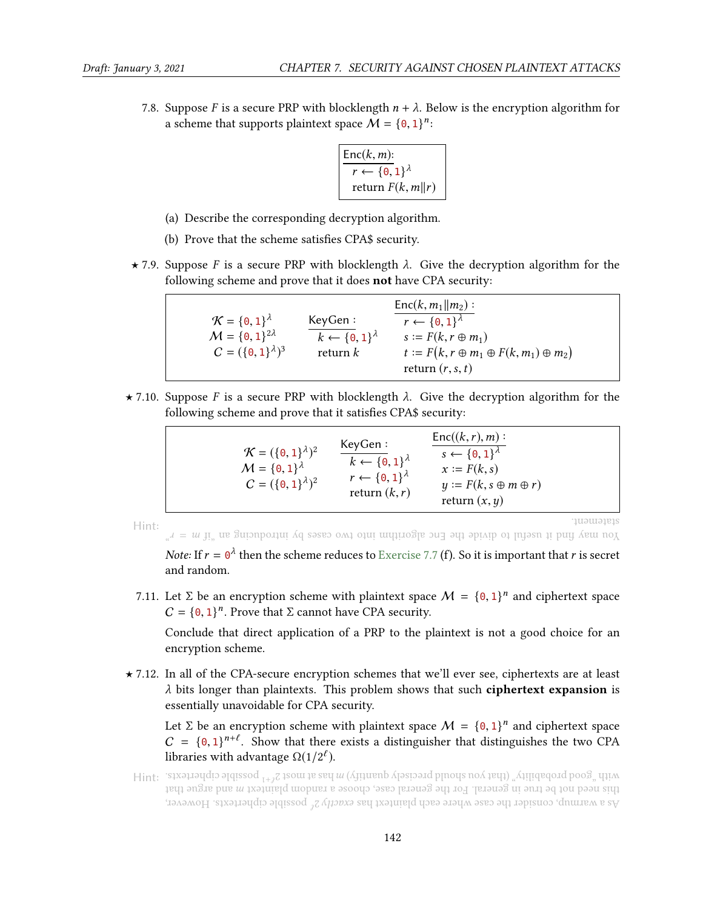7.8. Suppose F is a secure PRP with blocklength  $n + \lambda$ . Below is the encryption algorithm for a scheme that supports plaintext space  $\mathcal{M} = \{0, 1\}^n$ :

$$
\frac{\text{Enc}(k, m)}{r \leftarrow \{0, 1\}^{\lambda}}
$$
  
return  $F(k, m || r)$ 

- (a) Describe the corresponding decryption algorithm.
- (b) Prove that the scheme satisfies CPA\$ security.
- $\star$  7.9. Suppose F is a secure PRP with blocklength  $\lambda$ . Give the decryption algorithm for the following scheme and prove that it does not have CPA security:

| $\mathcal{K} = \{0, 1\}^{\lambda}$                       | KeyGen:                                        | $Enc(k, m_1    m_2)$ :<br>$r \leftarrow \{0,1\}^{\lambda}$                                                             |
|----------------------------------------------------------|------------------------------------------------|------------------------------------------------------------------------------------------------------------------------|
| $M = \{0, 1\}^{2\lambda}$<br>$C = (\{0,1\}^{\lambda})^3$ | $k \leftarrow \{0,1\}^{\lambda}$<br>return $k$ | $s \coloneqq F(k, r \oplus m_1)$<br>$t \coloneqq F(k, r \oplus m_1 \oplus F(k, m_1) \oplus m_2)$<br>return $(r, s, t)$ |
|                                                          |                                                |                                                                                                                        |

 $\star$  7.10. Suppose F is a secure PRP with blocklength  $\lambda$ . Give the decryption algorithm for the following scheme and prove that it satisfies CPA\$ security:

| $\mathcal{K} = (\{\mathbf{0}, \mathbf{1}\}^{\lambda})^2$<br>$M = \{0, 1\}^{\lambda}$<br>$C = (\{0, 1\}^{\lambda})^2$ | KeyGen:<br>$k \leftarrow \{0,1\}^{\lambda}$<br>$r \leftarrow \{0,1\}^{\lambda}$<br>return $(k, r)$ | $Enc((k, r), m)$ :<br>$s \leftarrow \{0, 1\}^{\lambda}$<br>$x := F(k, s)$<br>$y := F(k, s \oplus m \oplus r)$<br>return $(x, y)$ |  |
|----------------------------------------------------------------------------------------------------------------------|----------------------------------------------------------------------------------------------------|----------------------------------------------------------------------------------------------------------------------------------|--|
|                                                                                                                      |                                                                                                    |                                                                                                                                  |  |

Hint:

statement.

 $\mathcal{L}^{\alpha}$  =  $m$  ii. as gaiouborithm into exact by introducing and  $\mathcal{L}^{\alpha}$  is the introducing the  $\mathcal{L}^{\alpha}$ 

*Note:* If  $r = \theta^{\lambda}$  then the scheme reduces to [Exercise 7.7](#page-11-0) (f). So it is important that r is secret and random and random.

7.11. Let  $\Sigma$  be an encryption scheme with plaintext space  $M = \{0, 1\}^n$  and ciphertext space  $C = \{0, 1\}^n$ . Prove that  $\Sigma$  cannot have CBA security.  $C = \{0, 1\}^n$ . Prove that  $\Sigma$  cannot have CPA security.

Conclude that direct application of a PRP to the plaintext is not a good choice for an encryption scheme.

? 7.12. In all of the CPA-secure encryption schemes that we'll ever see, ciphertexts are at least  $\lambda$  bits longer than plaintexts. This problem shows that such **ciphertext expansion** is essentially unavoidable for CPA security.

Let  $\Sigma$  be an encryption scheme with plaintext space  $M = \{0, 1\}^n$  and ciphertext space  $C = \{0, 1\}^{n+\ell}$ . Show that there exists a distinguisher that distinguishes the two CPA  $C = \{0, 1\}^{n+\ell}$ . Show that there exists a distinguisher that distinguishes the two CPA libraries with advantage  $\Omega(1/2^{\ell}).$ 

Hint: <sup>2</sup> has at most <sup>m</sup> with "good probability" (that you should precisely quantify) <sup>1</sup> +` possible ciphertexts. As a warmup, consider the case where each plaintext has exactly  $2^{\epsilon}$  possible ciphertexts. However, this need not be true in general. For the general case, choose a random plaintext  $m$  and argue that